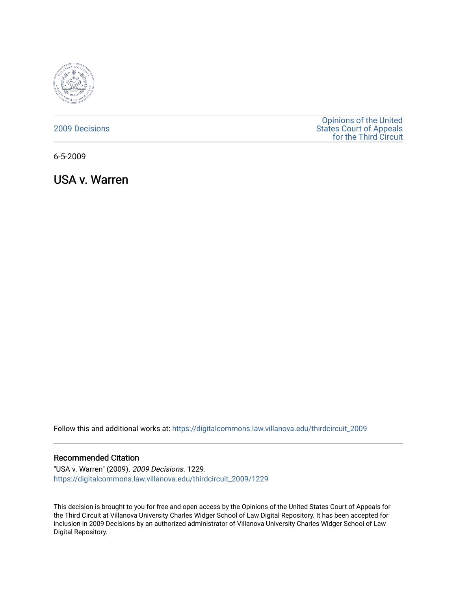

## [2009 Decisions](https://digitalcommons.law.villanova.edu/thirdcircuit_2009)

[Opinions of the United](https://digitalcommons.law.villanova.edu/thirdcircuit)  [States Court of Appeals](https://digitalcommons.law.villanova.edu/thirdcircuit)  [for the Third Circuit](https://digitalcommons.law.villanova.edu/thirdcircuit) 

6-5-2009

USA v. Warren

Follow this and additional works at: [https://digitalcommons.law.villanova.edu/thirdcircuit\\_2009](https://digitalcommons.law.villanova.edu/thirdcircuit_2009?utm_source=digitalcommons.law.villanova.edu%2Fthirdcircuit_2009%2F1229&utm_medium=PDF&utm_campaign=PDFCoverPages) 

## Recommended Citation

"USA v. Warren" (2009). 2009 Decisions. 1229. [https://digitalcommons.law.villanova.edu/thirdcircuit\\_2009/1229](https://digitalcommons.law.villanova.edu/thirdcircuit_2009/1229?utm_source=digitalcommons.law.villanova.edu%2Fthirdcircuit_2009%2F1229&utm_medium=PDF&utm_campaign=PDFCoverPages) 

This decision is brought to you for free and open access by the Opinions of the United States Court of Appeals for the Third Circuit at Villanova University Charles Widger School of Law Digital Repository. It has been accepted for inclusion in 2009 Decisions by an authorized administrator of Villanova University Charles Widger School of Law Digital Repository.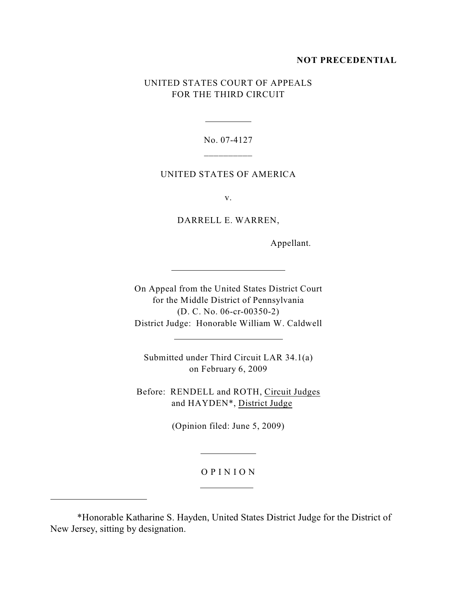#### **NOT PRECEDENTIAL**

# UNITED STATES COURT OF APPEALS FOR THE THIRD CIRCUIT

No. 07-4127  $\overline{\phantom{a}}$ 

 $\overline{a}$ 

 $\overline{a}$ 

 $\overline{a}$ 

## UNITED STATES OF AMERICA

v.

DARRELL E. WARREN,

Appellant.

On Appeal from the United States District Court for the Middle District of Pennsylvania (D. C. No. 06-cr-00350-2) District Judge: Honorable William W. Caldwell

Submitted under Third Circuit LAR 34.1(a) on February 6, 2009

Before: RENDELL and ROTH, Circuit Judges and HAYDEN\*, District Judge

(Opinion filed: June 5, 2009)

 $\overline{a}$ 

 $\overline{a}$ 

 $\overline{a}$ 

## O P I N I O N

 <sup>\*</sup>Honorable Katharine S. Hayden, United States District Judge for the District of New Jersey, sitting by designation.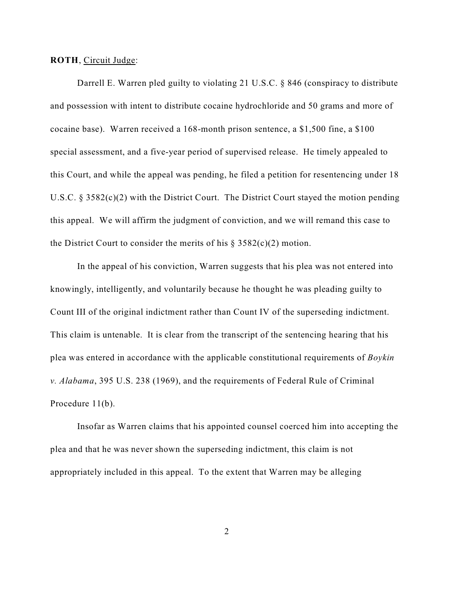**ROTH**, Circuit Judge:

Darrell E. Warren pled guilty to violating 21 U.S.C. § 846 (conspiracy to distribute and possession with intent to distribute cocaine hydrochloride and 50 grams and more of cocaine base). Warren received a 168-month prison sentence, a \$1,500 fine, a \$100 special assessment, and a five-year period of supervised release. He timely appealed to this Court, and while the appeal was pending, he filed a petition for resentencing under 18 U.S.C. § 3582(c)(2) with the District Court. The District Court stayed the motion pending this appeal. We will affirm the judgment of conviction, and we will remand this case to the District Court to consider the merits of his  $\S 3582(c)(2)$  motion.

In the appeal of his conviction, Warren suggests that his plea was not entered into knowingly, intelligently, and voluntarily because he thought he was pleading guilty to Count III of the original indictment rather than Count IV of the superseding indictment. This claim is untenable. It is clear from the transcript of the sentencing hearing that his plea was entered in accordance with the applicable constitutional requirements of *Boykin v. Alabama*, 395 U.S. 238 (1969), and the requirements of Federal Rule of Criminal Procedure 11(b).

Insofar as Warren claims that his appointed counsel coerced him into accepting the plea and that he was never shown the superseding indictment, this claim is not appropriately included in this appeal. To the extent that Warren may be alleging